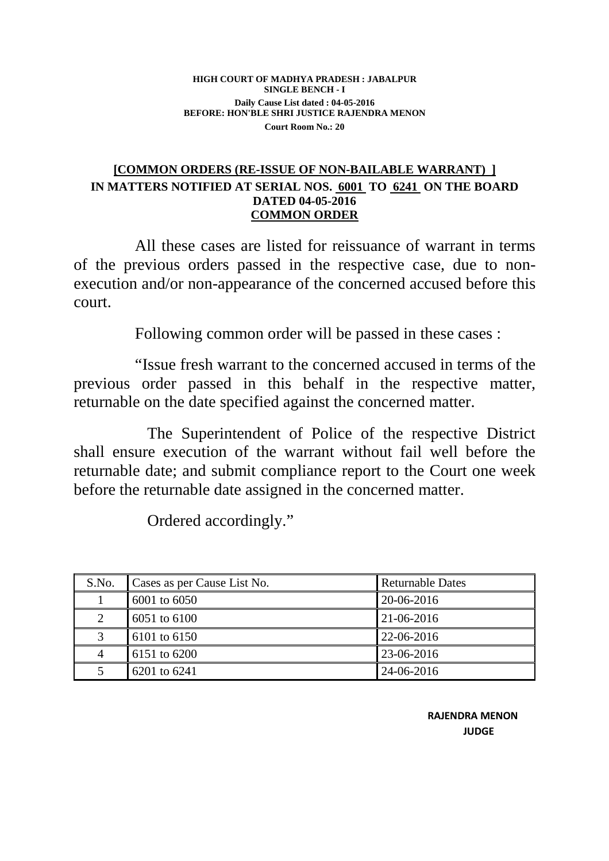## **HIGH COURT OF MADHYA PRADESH : JABALPUR SINGLE BENCH - I Daily Cause List dated : 04-05-2016 BEFORE: HON'BLE SHRI JUSTICE RAJENDRA MENON Court Room No.: 20**

## **[COMMON ORDERS (RE-ISSUE OF NON-BAILABLE WARRANT) ] IN MATTERS NOTIFIED AT SERIAL NOS. 6001 TO 6241 ON THE BOARD DATED 04-05-2016 COMMON ORDER**

 All these cases are listed for reissuance of warrant in terms of the previous orders passed in the respective case, due to nonexecution and/or non-appearance of the concerned accused before this court.

Following common order will be passed in these cases :

 "Issue fresh warrant to the concerned accused in terms of the previous order passed in this behalf in the respective matter, returnable on the date specified against the concerned matter.

 The Superintendent of Police of the respective District shall ensure execution of the warrant without fail well before the returnable date; and submit compliance report to the Court one week before the returnable date assigned in the concerned matter.

Ordered accordingly."

| S.No.                       | Cases as per Cause List No. | Returnable Dates |
|-----------------------------|-----------------------------|------------------|
|                             | 6001 to 6050                | 20-06-2016       |
| $\mathcal{D}_{\mathcal{L}}$ | 6051 to 6100                | $21 - 06 - 2016$ |
|                             | 6101 to 6150                | 22-06-2016       |
| 4                           | 6151 to 6200                | 23-06-2016       |
|                             | 6201 to 6241                | 24-06-2016       |

 RAJENDRA MENON JUDGE